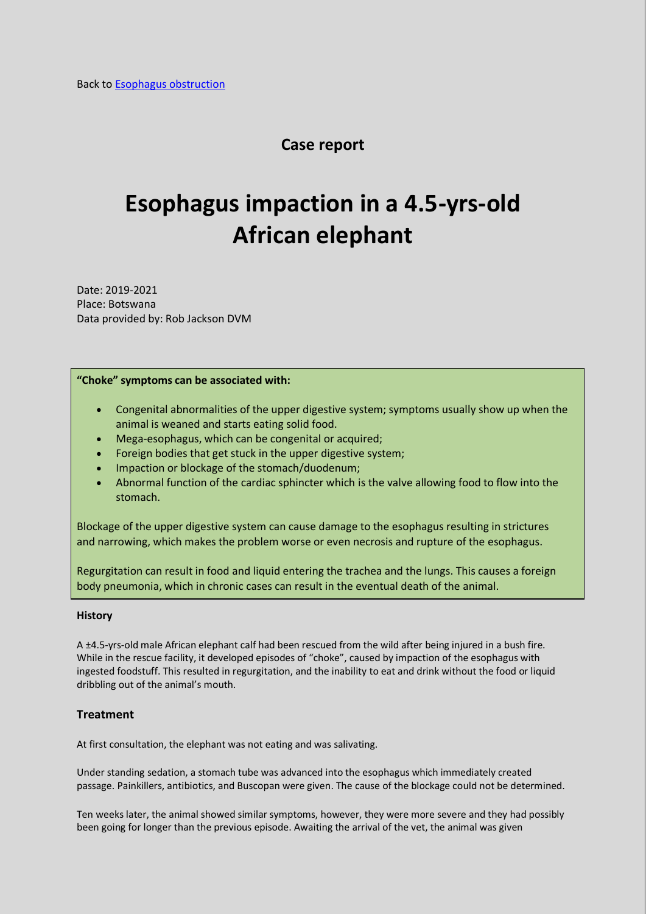## **Case report**

# **Esophagus impaction in a 4.5-yrs-old African elephant**

Date: 2019-2021 Place: Botswana Data provided by: Rob Jackson DVM

#### **"Choke" symptoms can be associated with:**

- Congenital abnormalities of the upper digestive system; symptoms usually show up when the animal is weaned and starts eating solid food.
- Mega-esophagus, which can be congenital or acquired;
- Foreign bodies that get stuck in the upper digestive system;
- Impaction or blockage of the stomach/duodenum;
- Abnormal function of the cardiac sphincter which is the valve allowing food to flow into the stomach.

Blockage of the upper digestive system can cause damage to the esophagus resulting in strictures and narrowing, which makes the problem worse or even necrosis and rupture of the esophagus.

Regurgitation can result in food and liquid entering the trachea and the lungs. This causes a foreign body pneumonia, which in chronic cases can result in the eventual death of the animal.

#### **History**

A ±4.5-yrs-old male African elephant calf had been rescued from the wild after being injured in a bush fire. While in the rescue facility, it developed episodes of "choke", caused by impaction of the esophagus with ingested foodstuff. This resulted in regurgitation, and the inability to eat and drink without the food or liquid dribbling out of the animal's mouth.

#### **Treatment**

At first consultation, the elephant was not eating and was salivating.

Under standing sedation, a stomach tube was advanced into the esophagus which immediately created passage. Painkillers, antibiotics, and Buscopan were given. The cause of the blockage could not be determined.

Ten weeks later, the animal showed similar symptoms, however, they were more severe and they had possibly been going for longer than the previous episode. Awaiting the arrival of the vet, the animal was given